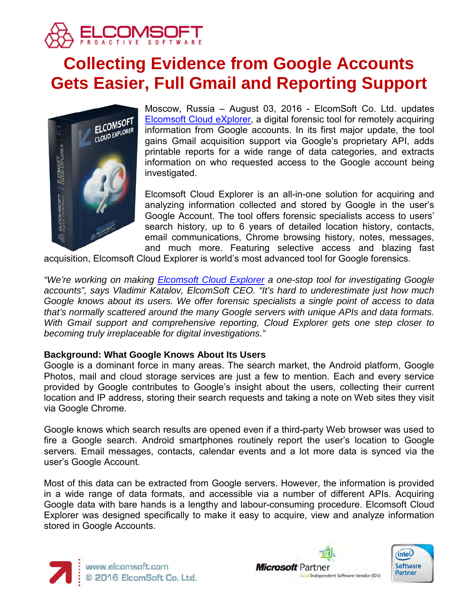

# **Collecting Evidence from Google Accounts Gets Easier, Full Gmail and Reporting Support**



Moscow, Russia – August 03, 2016 - ElcomSoft Co. Ltd. updates [Elcomsoft Cloud eXplorer,](https://www.elcomsoft.com/ecx.html) a digital forensic tool for remotely acquiring information from Google accounts. In its first major update, the tool gains Gmail acquisition support via Google's proprietary API, adds printable reports for a wide range of data categories, and extracts information on who requested access to the Google account being investigated.

Elcomsoft Cloud Explorer is an all-in-one solution for acquiring and analyzing information collected and stored by Google in the user's Google Account. The tool offers forensic specialists access to users' search history, up to 6 years of detailed location history, contacts, email communications, Chrome browsing history, notes, messages, and much more. Featuring selective access and blazing fast

acquisition, Elcomsoft Cloud Explorer is world's most advanced tool for Google forensics.

*"We're working on making [Elcomsoft Cloud Explorer](https://www.elcomsoft.com/ecx.html) a one-stop tool for investigating Google accounts", says Vladimir Katalov, ElcomSoft CEO. "It's hard to underestimate just how much Google knows about its users. We offer forensic specialists a single point of access to data that's normally scattered around the many Google servers with unique APIs and data formats. With Gmail support and comprehensive reporting, Cloud Explorer gets one step closer to becoming truly irreplaceable for digital investigations."*

# **Background: What Google Knows About Its Users**

Google is a dominant force in many areas. The search market, the Android platform, Google Photos, mail and cloud storage services are just a few to mention. Each and every service provided by Google contributes to Google's insight about the users, collecting their current location and IP address, storing their search requests and taking a note on Web sites they visit via Google Chrome.

Google knows which search results are opened even if a third-party Web browser was used to fire a Google search. Android smartphones routinely report the user's location to Google servers. Email messages, contacts, calendar events and a lot more data is synced via the user's Google Account.

Most of this data can be extracted from Google servers. However, the information is provided in a wide range of data formats, and accessible via a number of different APIs. Acquiring Google data with bare hands is a lengthy and labour-consuming procedure. Elcomsoft Cloud Explorer was designed specifically to make it easy to acquire, view and analyze information stored in Google Accounts.